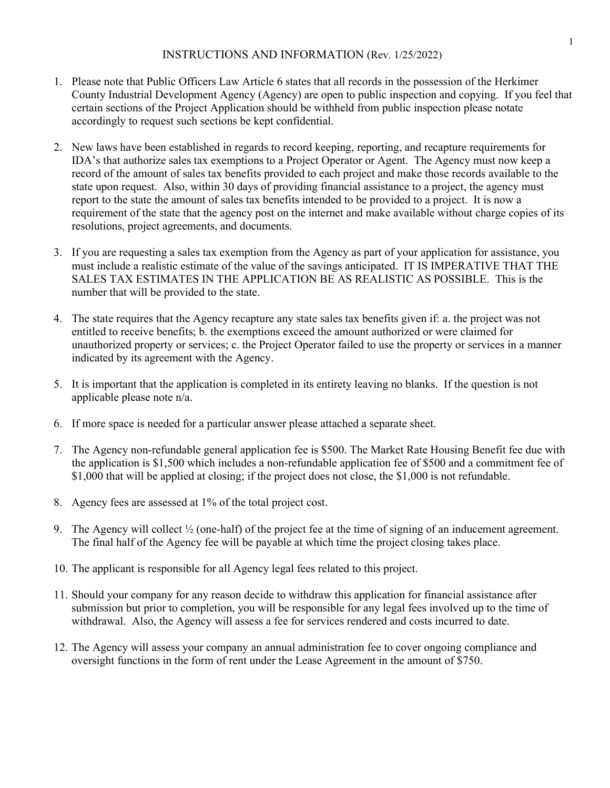- 1. Please note that Public Officers Law Article 6 states that all records in the possession of the Herkimer County Industrial Development Agency (Agency) are open to public inspection and copying. If you feel that certain sections of the Project Application should be withheld from public inspection please notate accordingly to request such sections be kept confidential.
- 2. New laws have been established in regards to record keeping, reporting, and recapture requirements for IDA's that authorize sales tax exemptions to a Project Operator or Agent. The Agency must now keep a record of the amount of sales tax benefits provided to each project and make those records available to the state upon request. Also, within 30 days of providing financial assistance to a project, the agency must report to the state the amount of sales tax benefits intended to be provided to a project. It is now a requirement of the state that the agency post on the internet and make available without charge copies of its resolutions, project agreements, and documents.
- 3. If you are requesting a sales tax exemption from the Agency as part of your application for assistance, you must include a realistic estimate of the value of the savings anticipated. IT IS IMPERATIVE THAT THE SALES TAX ESTIMATES IN THE APPLICATION BE AS REALISTIC AS POSSIBLE. This is the number that will be provided to the state.
- 4. The state requires that the Agency recapture any state sales tax benefits given if: a. the project was not entitled to receive benefits; b. the exemptions exceed the amount authorized or were claimed for unauthorized property or services; c. the Project Operator failed to use the property or services in a manner indicated by its agreement with the Agency.
- 5. It is important that the application is completed in its entirety leaving no blanks. If the question is not applicable please note n/a.
- 6. If more space is needed for a particular answer please attached a separate sheet.
- 7. The Agency non-refundable general application fee is \$500. The Market Rate Housing Benefit fee due with the application is \$1,500 which includes a non-refundable application fee of \$500 and a commitment fee of \$1,000 that will be applied at closing; if the project does not close, the \$1,000 is not refundable.
- 8. Agency fees are assessed at 1% of the total project cost.
- 9. The Agency will collect ½ (one-half) of the project fee at the time of signing of an inducement agreement. The final half of the Agency fee will be payable at which time the project closing takes place.
- 10. The applicant is responsible for all Agency legal fees related to this project.
- 11. Should your company for any reason decide to withdraw this application for financial assistance after submission but prior to completion, you will be responsible for any legal fees involved up to the time of withdrawal. Also, the Agency will assess a fee for services rendered and costs incurred to date.
- 12. The Agency will assess your company an annual administration fee to cover ongoing compliance and oversight functions in the form of rent under the Lease Agreement in the amount of \$750.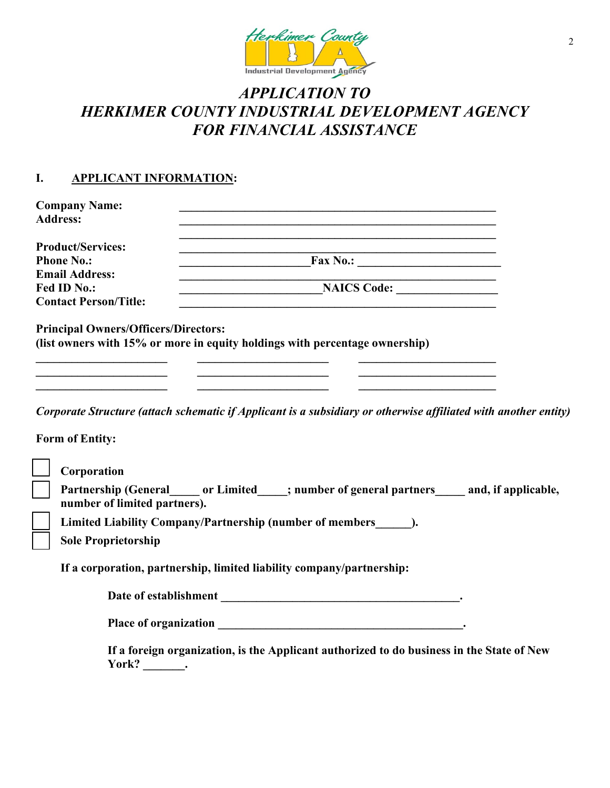

## *APPLICATION TO HERKIMER COUNTY INDUSTRIAL DEVELOPMENT AGENCY FOR FINANCIAL ASSISTANCE*

## **I. APPLICANT INFORMATION:**

| <b>Company Name:</b>                        |                                                                                                                 |  |
|---------------------------------------------|-----------------------------------------------------------------------------------------------------------------|--|
| <b>Address:</b>                             |                                                                                                                 |  |
| <b>Product/Services:</b>                    |                                                                                                                 |  |
| <b>Phone No.:</b>                           |                                                                                                                 |  |
| <b>Email Address:</b>                       |                                                                                                                 |  |
| Fed ID No.:                                 | NAICS Code:                                                                                                     |  |
| <b>Contact Person/Title:</b>                |                                                                                                                 |  |
| <b>Principal Owners/Officers/Directors:</b> | (list owners with 15% or more in equity holdings with percentage ownership)                                     |  |
|                                             | Corporate Structure (attach schematic if Applicant is a subsidiary or otherwise affiliated with another entity) |  |
| <b>Form of Entity:</b>                      |                                                                                                                 |  |
|                                             |                                                                                                                 |  |

| Corporation                                                                                      |
|--------------------------------------------------------------------------------------------------|
| <b>Partnership (General</b><br>and, if applicable,<br>; number of general partners<br>or Limited |
| number of limited partners).                                                                     |
| Limited Liability Company/Partnership (number of members                                         |

| <b>Sole Proprietorship</b> |
|----------------------------|
|----------------------------|

**If a corporation, partnership, limited liability company/partnership:** 

**Place of organization \_\_\_\_\_\_\_\_\_\_\_\_\_\_\_\_\_\_\_\_\_\_\_\_\_\_\_\_\_\_\_\_\_\_\_\_\_\_\_\_\_.** 

**If a foreign organization, is the Applicant authorized to do business in the State of New**  York? \_\_\_\_\_\_\_\_.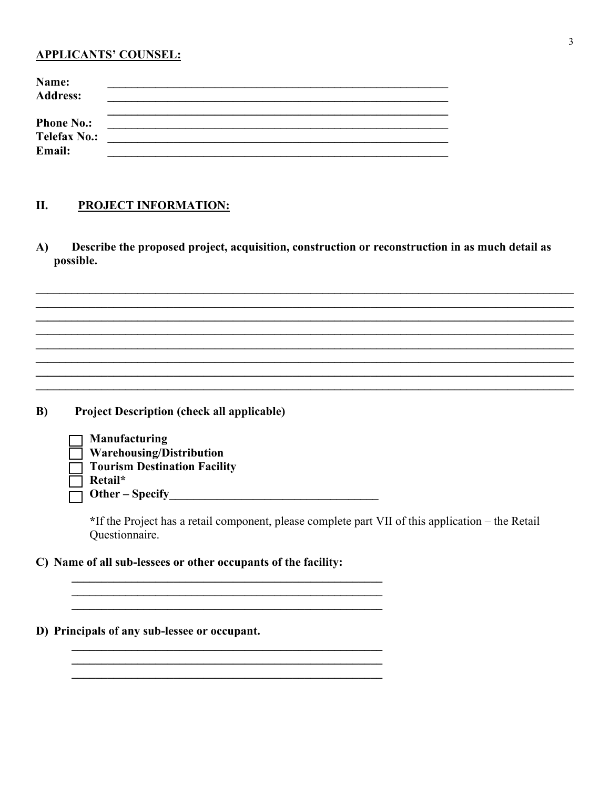#### **APPLICANTS' COUNSEL:**

| Name:<br><b>Address:</b>                           |  |
|----------------------------------------------------|--|
| <b>Phone No.:</b><br><b>Telefax No.:</b><br>Email: |  |
|                                                    |  |

#### П. **PROJECT INFORMATION:**

Describe the proposed project, acquisition, construction or reconstruction in as much detail as A) possible.

**Project Description (check all applicable)**  $B)$ 

| <b>Manufacturing</b>                |
|-------------------------------------|
| $\Box$ Warehousing/Distribution     |
| $\Box$ Tourism Destination Facility |
| $\Box$ Retail*                      |
| $\Box$ Other – Specify              |

\*If the Project has a retail component, please complete part VII of this application – the Retail Questionnaire.

C) Name of all sub-lessees or other occupants of the facility:

D) Principals of any sub-lessee or occupant.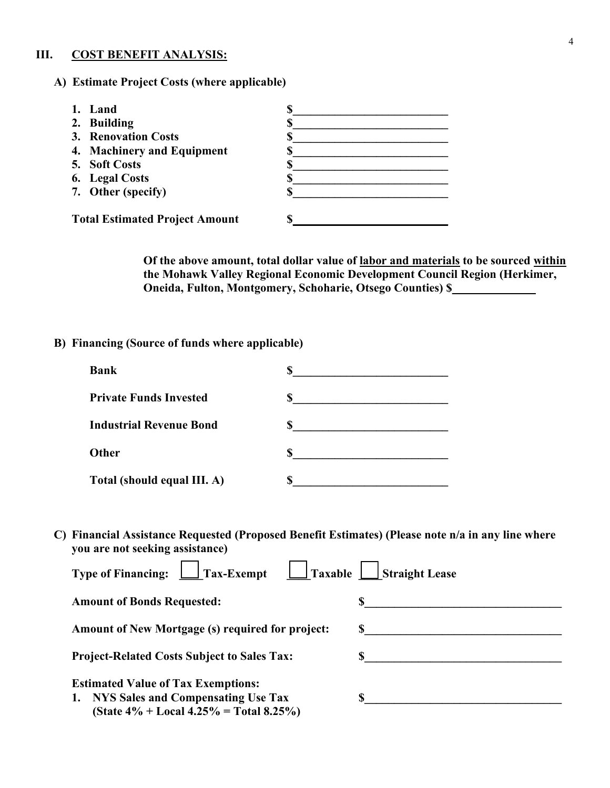#### **III. COST BENEFIT ANALYSIS:**

**A) Estimate Project Costs (where applicable)**

| 1. Land                    |  |
|----------------------------|--|
| 2. Building                |  |
| <b>3. Renovation Costs</b> |  |
| 4. Machinery and Equipment |  |
| 5. Soft Costs              |  |
| 6. Legal Costs             |  |
| 7. Other (specify)         |  |

**Of the above amount, total dollar value of labor and materials to be sourced within the Mohawk Valley Regional Economic Development Council Region (Herkimer, Oneida, Fulton, Montgomery, Schoharie, Otsego Counties) \$\_\_\_\_\_\_\_\_\_\_\_\_\_\_** 

**B) Financing (Source of funds where applicable)**

| <b>Bank</b>                    |  |
|--------------------------------|--|
| <b>Private Funds Invested</b>  |  |
| <b>Industrial Revenue Bond</b> |  |
| <b>Other</b>                   |  |
| Total (should equal III. A)    |  |

**C) Financial Assistance Requested (Proposed Benefit Estimates) (Please note n/a in any line where you are not seeking assistance)** 

| Type of Financing: $\Box$<br>$\Box$ Tax-Exempt<br>$\Box$ Taxable                          | <b>Straight Lease</b> |
|-------------------------------------------------------------------------------------------|-----------------------|
| <b>Amount of Bonds Requested:</b>                                                         |                       |
| <b>Amount of New Mortgage (s) required for project:</b>                                   |                       |
| <b>Project-Related Costs Subject to Sales Tax:</b>                                        |                       |
| <b>Estimated Value of Tax Exemptions:</b>                                                 |                       |
| 1. NYS Sales and Compensating Use Tax<br>(State $4\%$ + Local $4.25\%$ = Total $8.25\%$ ) |                       |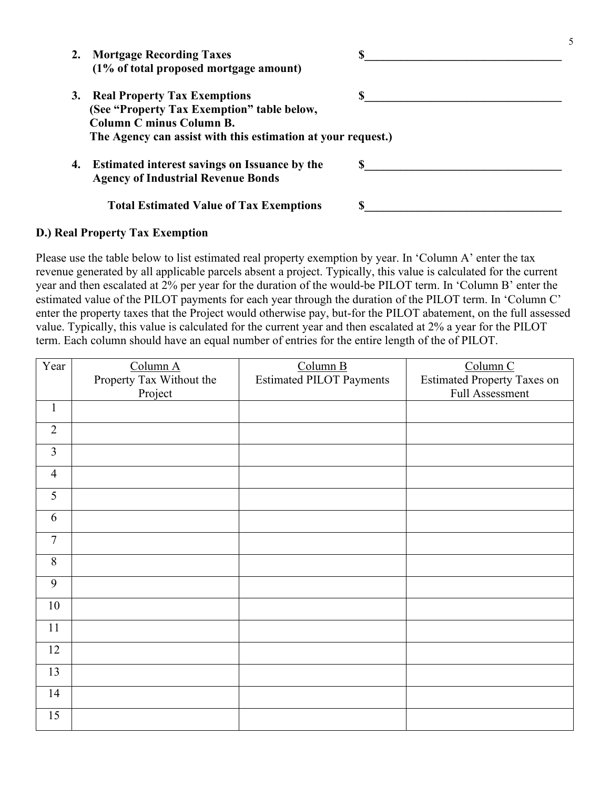| 2. Mortgage Recording Taxes<br>(1% of total proposed mortgage amount)                                                                                                            |  |
|----------------------------------------------------------------------------------------------------------------------------------------------------------------------------------|--|
| 3. Real Property Tax Exemptions<br>(See "Property Tax Exemption" table below,<br><b>Column C minus Column B.</b><br>The Agency can assist with this estimation at your request.) |  |
| 4. Estimated interest savings on Issuance by the<br><b>Agency of Industrial Revenue Bonds</b>                                                                                    |  |
| <b>Total Estimated Value of Tax Exemptions</b>                                                                                                                                   |  |

5

#### **D.) Real Property Tax Exemption**

Please use the table below to list estimated real property exemption by year. In 'Column A' enter the tax revenue generated by all applicable parcels absent a project. Typically, this value is calculated for the current year and then escalated at 2% per year for the duration of the would-be PILOT term. In 'Column B' enter the estimated value of the PILOT payments for each year through the duration of the PILOT term. In 'Column C' enter the property taxes that the Project would otherwise pay, but-for the PILOT abatement, on the full assessed value. Typically, this value is calculated for the current year and then escalated at 2% a year for the PILOT term. Each column should have an equal number of entries for the entire length of the of PILOT.

| Year           | Column A                 | Column B                        | Column C                           |
|----------------|--------------------------|---------------------------------|------------------------------------|
|                | Property Tax Without the | <b>Estimated PILOT Payments</b> | <b>Estimated Property Taxes on</b> |
|                | Project                  |                                 | Full Assessment                    |
| $\mathbf{1}$   |                          |                                 |                                    |
| $\overline{2}$ |                          |                                 |                                    |
| $\overline{3}$ |                          |                                 |                                    |
| $\overline{4}$ |                          |                                 |                                    |
| 5              |                          |                                 |                                    |
| 6              |                          |                                 |                                    |
| $\overline{7}$ |                          |                                 |                                    |
| $\,8\,$        |                          |                                 |                                    |
| 9              |                          |                                 |                                    |
| 10             |                          |                                 |                                    |
| $11\,$         |                          |                                 |                                    |
| 12             |                          |                                 |                                    |
| 13             |                          |                                 |                                    |
| 14             |                          |                                 |                                    |
| 15             |                          |                                 |                                    |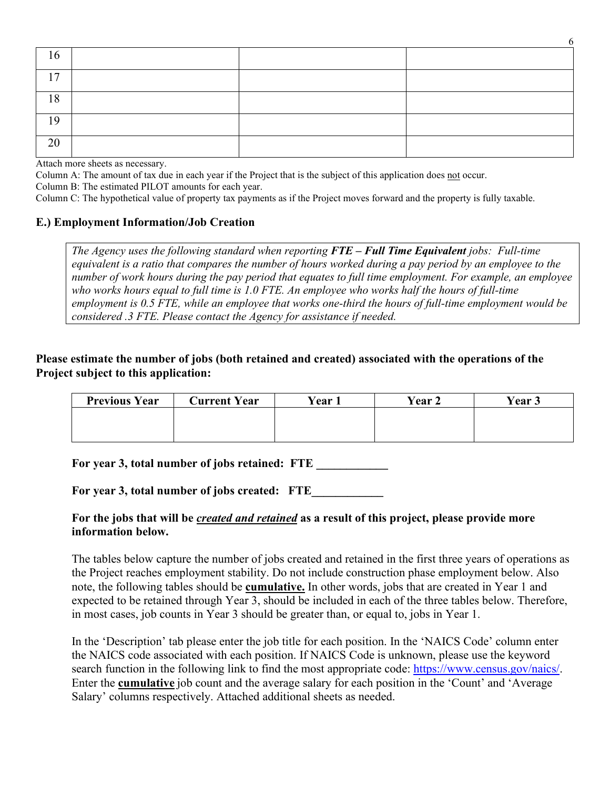| 16             |  |  |
|----------------|--|--|
| 1 <sub>7</sub> |  |  |
| 18             |  |  |
| 19             |  |  |
| 20             |  |  |

6

Attach more sheets as necessary.

Column A: The amount of tax due in each year if the Project that is the subject of this application does not occur.

Column B: The estimated PILOT amounts for each year.

Column C: The hypothetical value of property tax payments as if the Project moves forward and the property is fully taxable.

#### **E.) Employment Information/Job Creation**

*The Agency uses the following standard when reporting FTE – Full Time Equivalent jobs: Full-time equivalent is a ratio that compares the number of hours worked during a pay period by an employee to the number of work hours during the pay period that equates to full time employment. For example, an employee who works hours equal to full time is 1.0 FTE. An employee who works half the hours of full-time employment is 0.5 FTE, while an employee that works one-third the hours of full-time employment would be considered .3 FTE. Please contact the Agency for assistance if needed.*

#### **Please estimate the number of jobs (both retained and created) associated with the operations of the Project subject to this application:**

| <b>Previous Year</b> | <b>Current Year</b> | $\sqrt{Var}$ 1 | <b>Vear 2</b> | Year 3 |
|----------------------|---------------------|----------------|---------------|--------|
|                      |                     |                |               |        |
|                      |                     |                |               |        |

For year 3, total number of jobs retained: FTE

For year 3, total number of jobs created: FTE

#### **For the jobs that will be** *created and retained* **as a result of this project, please provide more information below.**

The tables below capture the number of jobs created and retained in the first three years of operations as the Project reaches employment stability. Do not include construction phase employment below. Also note, the following tables should be **cumulative.** In other words, jobs that are created in Year 1 and expected to be retained through Year 3, should be included in each of the three tables below. Therefore, in most cases, job counts in Year 3 should be greater than, or equal to, jobs in Year 1.

In the 'Description' tab please enter the job title for each position. In the 'NAICS Code' column enter the NAICS code associated with each position. If NAICS Code is unknown, please use the keyword search function in the following link to find the most appropriate code: [https://www.census.gov/naics/.](https://www.census.gov/naics/) Enter the **cumulative** job count and the average salary for each position in the 'Count' and 'Average Salary' columns respectively. Attached additional sheets as needed.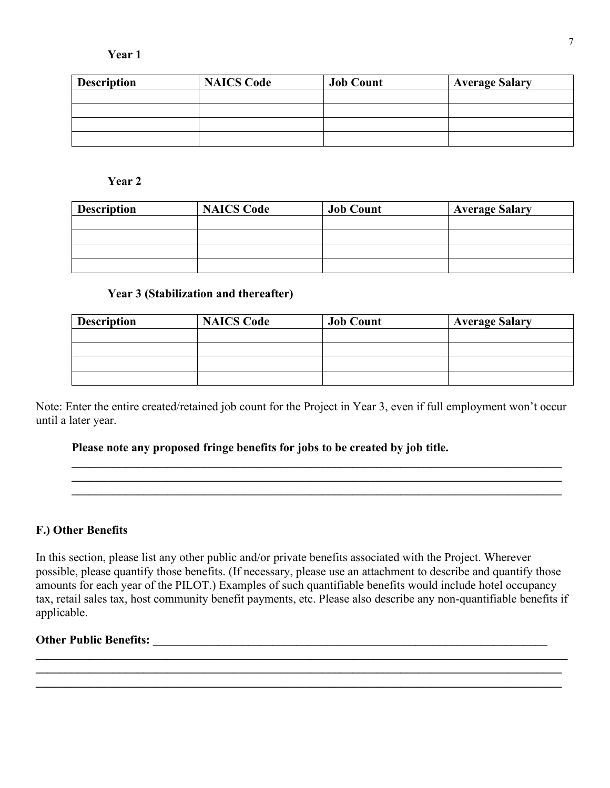#### **Year 1**

| <b>Description</b> | <b>NAICS Code</b> | <b>Job Count</b> | <b>Average Salary</b> |
|--------------------|-------------------|------------------|-----------------------|
|                    |                   |                  |                       |
|                    |                   |                  |                       |
|                    |                   |                  |                       |
|                    |                   |                  |                       |

## **Year 2**

| <b>Description</b> | <b>NAICS Code</b> | <b>Job Count</b> | <b>Average Salary</b> |
|--------------------|-------------------|------------------|-----------------------|
|                    |                   |                  |                       |
|                    |                   |                  |                       |
|                    |                   |                  |                       |
|                    |                   |                  |                       |

#### **Year 3 (Stabilization and thereafter)**

| <b>Description</b> | <b>NAICS Code</b> | <b>Job Count</b> | <b>Average Salary</b> |
|--------------------|-------------------|------------------|-----------------------|
|                    |                   |                  |                       |
|                    |                   |                  |                       |
|                    |                   |                  |                       |
|                    |                   |                  |                       |

Note: Enter the entire created/retained job count for the Project in Year 3, even if full employment won't occur until a later year.

**\_\_\_\_\_\_\_\_\_\_\_\_\_\_\_\_\_\_\_\_\_\_\_\_\_\_\_\_\_\_\_\_\_\_\_\_\_\_\_\_\_\_\_\_\_\_\_\_\_\_\_\_\_\_\_\_\_\_\_\_\_\_\_\_\_\_\_\_\_\_\_\_\_\_\_\_\_\_\_\_\_\_ \_\_\_\_\_\_\_\_\_\_\_\_\_\_\_\_\_\_\_\_\_\_\_\_\_\_\_\_\_\_\_\_\_\_\_\_\_\_\_\_\_\_\_\_\_\_\_\_\_\_\_\_\_\_\_\_\_\_\_\_\_\_\_\_\_\_\_\_\_\_\_\_\_\_\_\_\_\_\_\_\_\_ \_\_\_\_\_\_\_\_\_\_\_\_\_\_\_\_\_\_\_\_\_\_\_\_\_\_\_\_\_\_\_\_\_\_\_\_\_\_\_\_\_\_\_\_\_\_\_\_\_\_\_\_\_\_\_\_\_\_\_\_\_\_\_\_\_\_\_\_\_\_\_\_\_\_\_\_\_\_\_\_\_\_** 

#### **Please note any proposed fringe benefits for jobs to be created by job title.**

### **F.) Other Benefits**

In this section, please list any other public and/or private benefits associated with the Project. Wherever possible, please quantify those benefits. (If necessary, please use an attachment to describe and quantify those amounts for each year of the PILOT.) Examples of such quantifiable benefits would include hotel occupancy tax, retail sales tax, host community benefit payments, etc. Please also describe any non-quantifiable benefits if applicable.

**\_\_\_\_\_\_\_\_\_\_\_\_\_\_\_\_\_\_\_\_\_\_\_\_\_\_\_\_\_\_\_\_\_\_\_\_\_\_\_\_\_\_\_\_\_\_\_\_\_\_\_\_\_\_\_\_\_\_\_\_\_\_\_\_\_\_\_\_\_\_\_\_\_\_\_\_\_\_\_\_\_\_\_\_\_\_\_\_\_ \_\_\_\_\_\_\_\_\_\_\_\_\_\_\_\_\_\_\_\_\_\_\_\_\_\_\_\_\_\_\_\_\_\_\_\_\_\_\_\_\_\_\_\_\_\_\_\_\_\_\_\_\_\_\_\_\_\_\_\_\_\_\_\_\_\_\_\_\_\_\_\_\_\_\_\_\_\_\_\_\_\_\_\_\_\_\_\_** 

#### **Other Public Benefits: \_\_\_\_\_\_\_\_\_\_\_\_\_\_\_\_\_\_\_\_\_\_\_\_\_\_\_\_\_\_\_\_\_\_\_\_\_\_\_\_\_\_\_\_\_\_\_\_\_\_\_\_\_\_\_\_\_\_\_\_\_\_\_\_\_\_**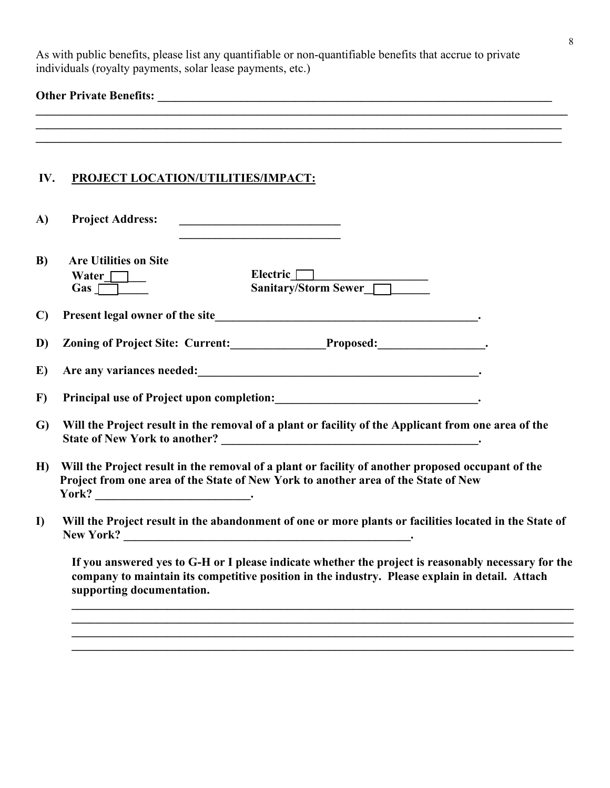As with public benefits, please list any quantifiable or non-quantifiable benefits that accrue to private individuals (royalty payments, solar lease payments, etc.)

# **Other Private Benefits: \_\_\_\_\_\_\_\_\_\_\_\_\_\_\_\_\_\_\_\_\_\_\_\_\_\_\_\_\_\_\_\_\_\_\_\_\_\_\_\_\_\_\_\_\_\_\_\_\_\_\_\_\_\_\_\_\_\_\_\_\_\_\_\_\_\_**

| IV.          | ,我们也不会有什么。""我们的人,我们也不会有什么?""我们的人,我们也不会有什么?""我们的人,我们也不会有什么?""我们的人,我们也不会有什么?""我们的人<br>PROJECT LOCATION/UTILITIES/IMPACT:                                                                                                             |  |  |
|--------------|------------------------------------------------------------------------------------------------------------------------------------------------------------------------------------------------------------------------------------|--|--|
| A)           | <b>Project Address:</b><br><u> 1990 - Johann Barbara, martin a</u>                                                                                                                                                                 |  |  |
| B)           | <b>Are Utilities on Site</b><br>Electric<br>Sanitary/Storm Sewer<br>Water $\Box$                                                                                                                                                   |  |  |
| $\mathbf{C}$ |                                                                                                                                                                                                                                    |  |  |
| D)           | Zoning of Project Site: Current: Proposed: Proposed:                                                                                                                                                                               |  |  |
| E)           | Are any variances needed:<br><u>Notice</u> any variances needed:                                                                                                                                                                   |  |  |
| $\bf{F}$     |                                                                                                                                                                                                                                    |  |  |
| G)           | Will the Project result in the removal of a plant or facility of the Applicant from one area of the                                                                                                                                |  |  |
| H            | Will the Project result in the removal of a plant or facility of another proposed occupant of the<br>Project from one area of the State of New York to another area of the State of New                                            |  |  |
| $\mathbf{D}$ | Will the Project result in the abandonment of one or more plants or facilities located in the State of                                                                                                                             |  |  |
|              | If you answered yes to G-H or I please indicate whether the project is reasonably necessary for the<br>company to maintain its competitive position in the industry. Please explain in detail. Attach<br>supporting documentation. |  |  |

**\_\_\_\_\_\_\_\_\_\_\_\_\_\_\_\_\_\_\_\_\_\_\_\_\_\_\_\_\_\_\_\_\_\_\_\_\_\_\_\_\_\_\_\_\_\_\_\_\_\_\_\_\_\_\_\_\_\_\_\_\_\_\_\_\_\_\_\_\_\_\_\_\_\_\_\_\_\_\_\_\_\_\_\_**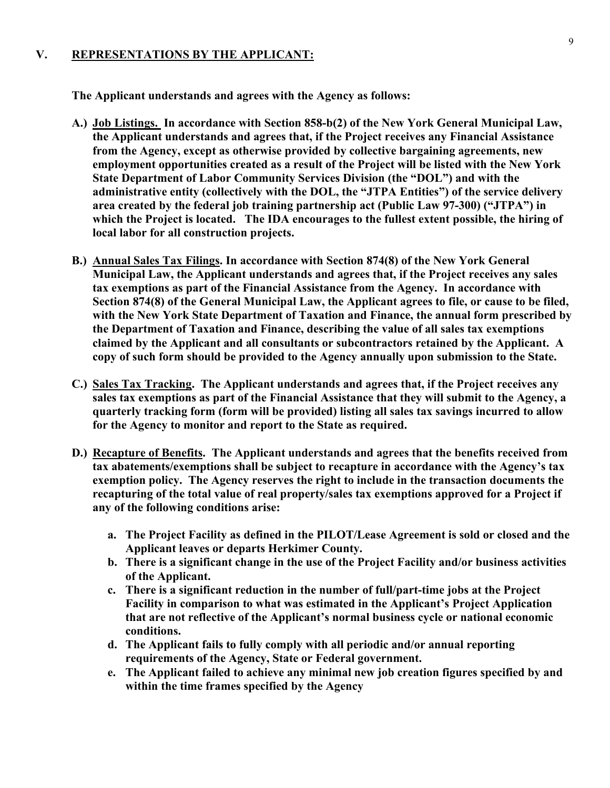#### **V. REPRESENTATIONS BY THE APPLICANT:**

**The Applicant understands and agrees with the Agency as follows:** 

- **A.) Job Listings. In accordance with Section 858-b(2) of the New York General Municipal Law, the Applicant understands and agrees that, if the Project receives any Financial Assistance from the Agency, except as otherwise provided by collective bargaining agreements, new employment opportunities created as a result of the Project will be listed with the New York State Department of Labor Community Services Division (the "DOL") and with the administrative entity (collectively with the DOL, the "JTPA Entities") of the service delivery area created by the federal job training partnership act (Public Law 97-300) ("JTPA") in which the Project is located. The IDA encourages to the fullest extent possible, the hiring of local labor for all construction projects.**
- **B.) Annual Sales Tax Filings. In accordance with Section 874(8) of the New York General Municipal Law, the Applicant understands and agrees that, if the Project receives any sales tax exemptions as part of the Financial Assistance from the Agency. In accordance with Section 874(8) of the General Municipal Law, the Applicant agrees to file, or cause to be filed, with the New York State Department of Taxation and Finance, the annual form prescribed by the Department of Taxation and Finance, describing the value of all sales tax exemptions claimed by the Applicant and all consultants or subcontractors retained by the Applicant. A copy of such form should be provided to the Agency annually upon submission to the State.**
- **C.) Sales Tax Tracking. The Applicant understands and agrees that, if the Project receives any sales tax exemptions as part of the Financial Assistance that they will submit to the Agency, a quarterly tracking form (form will be provided) listing all sales tax savings incurred to allow for the Agency to monitor and report to the State as required.**
- **D.) Recapture of Benefits. The Applicant understands and agrees that the benefits received from tax abatements/exemptions shall be subject to recapture in accordance with the Agency's tax exemption policy. The Agency reserves the right to include in the transaction documents the recapturing of the total value of real property/sales tax exemptions approved for a Project if any of the following conditions arise:** 
	- **a. The Project Facility as defined in the PILOT/Lease Agreement is sold or closed and the Applicant leaves or departs Herkimer County.**
	- **b. There is a significant change in the use of the Project Facility and/or business activities of the Applicant.**
	- **c. There is a significant reduction in the number of full/part-time jobs at the Project Facility in comparison to what was estimated in the Applicant's Project Application that are not reflective of the Applicant's normal business cycle or national economic conditions.**
	- **d. The Applicant fails to fully comply with all periodic and/or annual reporting requirements of the Agency, State or Federal government.**
	- **e. The Applicant failed to achieve any minimal new job creation figures specified by and within the time frames specified by the Agency**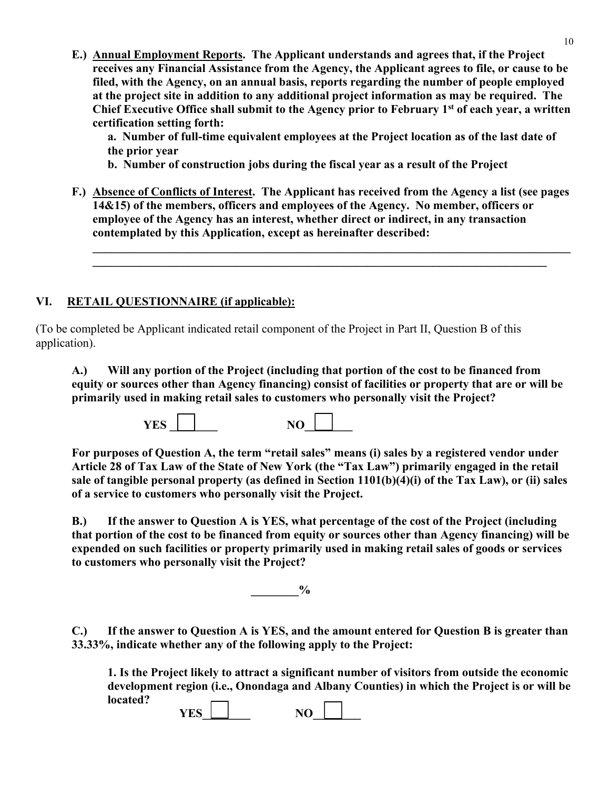**E.) Annual Employment Reports. The Applicant understands and agrees that, if the Project receives any Financial Assistance from the Agency, the Applicant agrees to file, or cause to be filed, with the Agency, on an annual basis, reports regarding the number of people employed at the project site in addition to any additional project information as may be required. The Chief Executive Office shall submit to the Agency prior to February 1st of each year, a written certification setting forth:**

**a. Number of full-time equivalent employees at the Project location as of the last date of the prior year**

**b. Number of construction jobs during the fiscal year as a result of the Project**

**F.) Absence of Conflicts of Interest. The Applicant has received from the Agency a list (see pages 14&15) of the members, officers and employees of the Agency. No member, officers or employee of the Agency has an interest, whether direct or indirect, in any transaction contemplated by this Application, except as hereinafter described:** 

**\_\_\_\_\_\_\_\_\_\_\_\_\_\_\_\_\_\_\_\_\_\_\_\_\_\_\_\_\_\_\_\_\_\_\_\_\_\_\_\_\_\_\_\_\_\_\_\_\_\_\_\_\_\_\_\_\_\_\_\_\_\_\_\_\_\_\_\_\_\_\_\_\_\_\_\_\_\_\_\_ \_\_\_\_\_\_\_\_\_\_\_\_\_\_\_\_\_\_\_\_\_\_\_\_\_\_\_\_\_\_\_\_\_\_\_\_\_\_\_\_\_\_\_\_\_\_\_\_\_\_\_\_\_\_\_\_\_\_\_\_\_\_\_\_\_\_\_\_\_\_\_\_\_\_\_\_** 

## **VI. RETAIL QUESTIONNAIRE (if applicable):**

(To be completed be Applicant indicated retail component of the Project in Part II, Question B of this application).

**A.) Will any portion of the Project (including that portion of the cost to be financed from equity or sources other than Agency financing) consist of facilities or property that are or will be primarily used in making retail sales to customers who personally visit the Project?** 

**YES \_\_\_\_\_\_\_\_ NO\_\_\_\_\_\_\_\_** 

**For purposes of Question A, the term "retail sales" means (i) sales by a registered vendor under Article 28 of Tax Law of the State of New York (the "Tax Law") primarily engaged in the retail sale of tangible personal property (as defined in Section 1101(b)(4)(i) of the Tax Law), or (ii) sales of a service to customers who personally visit the Project.**

**B.) If the answer to Question A is YES, what percentage of the cost of the Project (including that portion of the cost to be financed from equity or sources other than Agency financing) will be expended on such facilities or property primarily used in making retail sales of goods or services to customers who personally visit the Project?**

 $\frac{0}{0}$ 

**C.) If the answer to Question A is YES, and the amount entered for Question B is greater than 33.33%, indicate whether any of the following apply to the Project:** 

**1. Is the Project likely to attract a significant number of visitors from outside the economic development region (i.e., Onondaga and Albany Counties) in which the Project is or will be located?**

| VFC<br>ı.<br>-- | $\overline{\phantom{a}}$<br>$\sim$ |  |
|-----------------|------------------------------------|--|
|                 |                                    |  |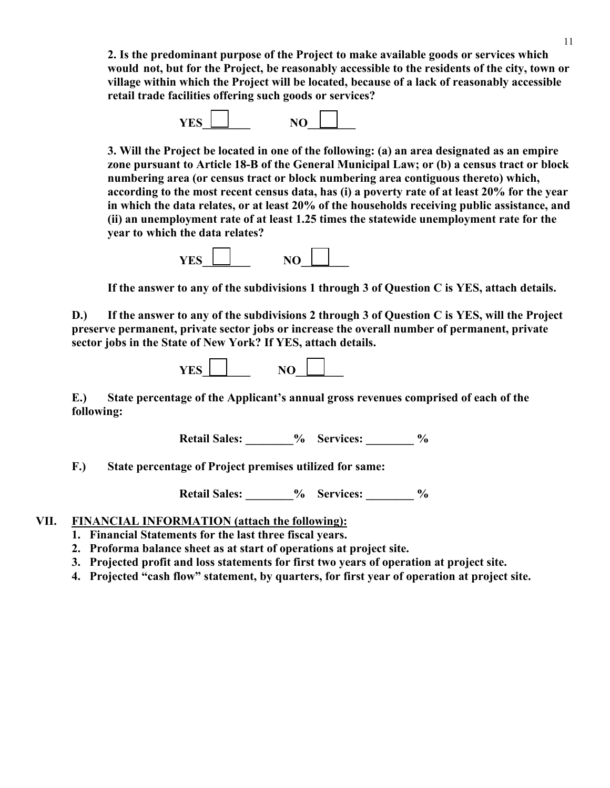**2. Is the predominant purpose of the Project to make available goods or services which would not, but for the Project, be reasonably accessible to the residents of the city, town or village within which the Project will be located, because of a lack of reasonably accessible retail trade facilities offering such goods or services?**



**3. Will the Project be located in one of the following: (a) an area designated as an empire zone pursuant to Article 18-B of the General Municipal Law; or (b) a census tract or block numbering area (or census tract or block numbering area contiguous thereto) which, according to the most recent census data, has (i) a poverty rate of at least 20% for the year in which the data relates, or at least 20% of the households receiving public assistance, and (ii) an unemployment rate of at least 1.25 times the statewide unemployment rate for the year to which the data relates?**



**If the answer to any of the subdivisions 1 through 3 of Question C is YES, attach details.** 

**D.) If the answer to any of the subdivisions 2 through 3 of Question C is YES, will the Project preserve permanent, private sector jobs or increase the overall number of permanent, private sector jobs in the State of New York? If YES, attach details.**



**E.) State percentage of the Applicant's annual gross revenues comprised of each of the following:** 

Retail Sales:  $\%$  Services:  $\%$ 

**F.) State percentage of Project premises utilized for same:**

Retail Sales:  $\%$  Services:  $\%$ 

### **VII. FINANCIAL INFORMATION (attach the following):**

- **1. Financial Statements for the last three fiscal years.**
- **2. Proforma balance sheet as at start of operations at project site.**
- **3. Projected profit and loss statements for first two years of operation at project site.**
- **4. Projected "cash flow" statement, by quarters, for first year of operation at project site.**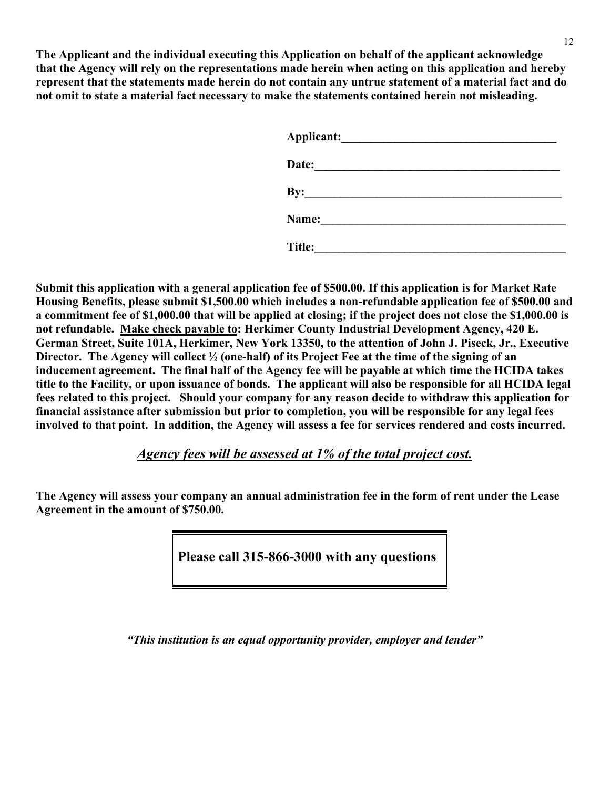**The Applicant and the individual executing this Application on behalf of the applicant acknowledge that the Agency will rely on the representations made herein when acting on this application and hereby represent that the statements made herein do not contain any untrue statement of a material fact and do not omit to state a material fact necessary to make the statements contained herein not misleading.** 

| Applicant: Applicant and Applicant and Applicant and Applicant and Applicant and Applicant and Applicant and Applicant and Applicant and Applicant and Applicant and Applicant and Applicant and Applicant and Applicant and A |
|--------------------------------------------------------------------------------------------------------------------------------------------------------------------------------------------------------------------------------|
| Date:<br><u> 1980 - Jan Salam Barat, masjid a shekara ta 1980 a shekara ta 1980 a shekara ta 1980 a shekara ta 1980 a shek</u>                                                                                                 |
| By:                                                                                                                                                                                                                            |
| Name:<br><u> 1989 - Andrea State Barbara, poeta esta</u>                                                                                                                                                                       |
| Title:                                                                                                                                                                                                                         |

**Submit this application with a general application fee of \$500.00. If this application is for Market Rate Housing Benefits, please submit \$1,500.00 which includes a non-refundable application fee of \$500.00 and a commitment fee of \$1,000.00 that will be applied at closing; if the project does not close the \$1,000.00 is not refundable. Make check payable to: Herkimer County Industrial Development Agency, 420 E. German Street, Suite 101A, Herkimer, New York 13350, to the attention of John J. Piseck, Jr., Executive Director. The Agency will collect ½ (one-half) of its Project Fee at the time of the signing of an inducement agreement. The final half of the Agency fee will be payable at which time the HCIDA takes title to the Facility, or upon issuance of bonds. The applicant will also be responsible for all HCIDA legal fees related to this project. Should your company for any reason decide to withdraw this application for financial assistance after submission but prior to completion, you will be responsible for any legal fees involved to that point. In addition, the Agency will assess a fee for services rendered and costs incurred.** 

*Agency fees will be assessed at 1% of the total project cost.*

**The Agency will assess your company an annual administration fee in the form of rent under the Lease Agreement in the amount of \$750.00.** 

**Please call 315-866-3000 with any questions**

*"This institution is an equal opportunity provider, employer and lender"*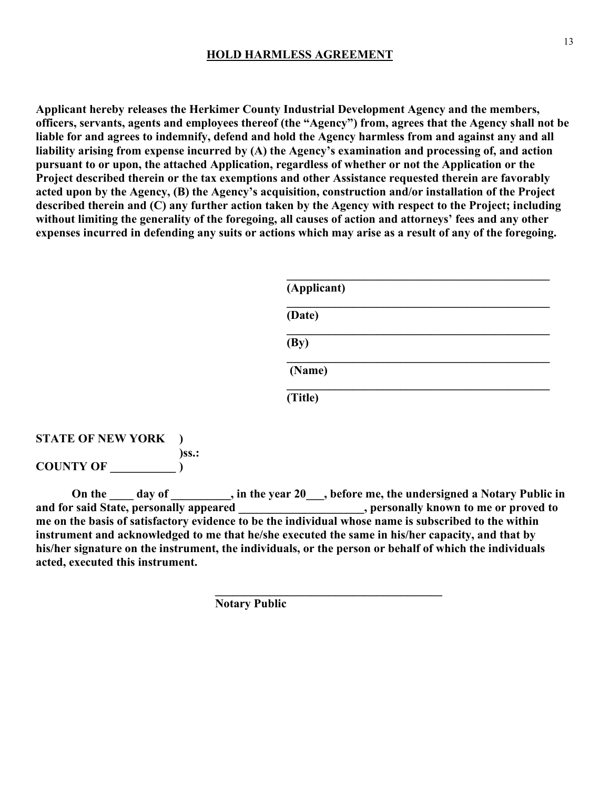#### **HOLD HARMLESS AGREEMENT**

**Applicant hereby releases the Herkimer County Industrial Development Agency and the members, officers, servants, agents and employees thereof (the "Agency") from, agrees that the Agency shall not be liable for and agrees to indemnify, defend and hold the Agency harmless from and against any and all liability arising from expense incurred by (A) the Agency's examination and processing of, and action pursuant to or upon, the attached Application, regardless of whether or not the Application or the Project described therein or the tax exemptions and other Assistance requested therein are favorably acted upon by the Agency, (B) the Agency's acquisition, construction and/or installation of the Project described therein and (C) any further action taken by the Agency with respect to the Project; including without limiting the generality of the foregoing, all causes of action and attorneys' fees and any other expenses incurred in defending any suits or actions which may arise as a result of any of the foregoing.** 

| (Applicant)                 |
|-----------------------------|
| (Date)                      |
| $\left(\frac{By}{B}\right)$ |
| (Name)                      |
| (Title)                     |

#### **STATE OF NEW YORK ) )ss.: COUNTY OF \_\_\_\_\_\_\_\_\_\_\_ )**

On the \_\_\_\_ day of \_\_\_\_\_\_\_\_, in the year 20\_\_\_, before me, the undersigned a Notary Public in **and for said State, personally appeared \_\_\_\_\_\_\_\_\_\_\_\_\_\_\_\_\_\_\_\_\_, personally known to me or proved to me on the basis of satisfactory evidence to be the individual whose name is subscribed to the within instrument and acknowledged to me that he/she executed the same in his/her capacity, and that by his/her signature on the instrument, the individuals, or the person or behalf of which the individuals acted, executed this instrument.**

 **Notary Public** 

 $\frac{1}{2}$  ,  $\frac{1}{2}$  ,  $\frac{1}{2}$  ,  $\frac{1}{2}$  ,  $\frac{1}{2}$  ,  $\frac{1}{2}$  ,  $\frac{1}{2}$  ,  $\frac{1}{2}$  ,  $\frac{1}{2}$  ,  $\frac{1}{2}$  ,  $\frac{1}{2}$  ,  $\frac{1}{2}$  ,  $\frac{1}{2}$  ,  $\frac{1}{2}$  ,  $\frac{1}{2}$  ,  $\frac{1}{2}$  ,  $\frac{1}{2}$  ,  $\frac{1}{2}$  ,  $\frac{1$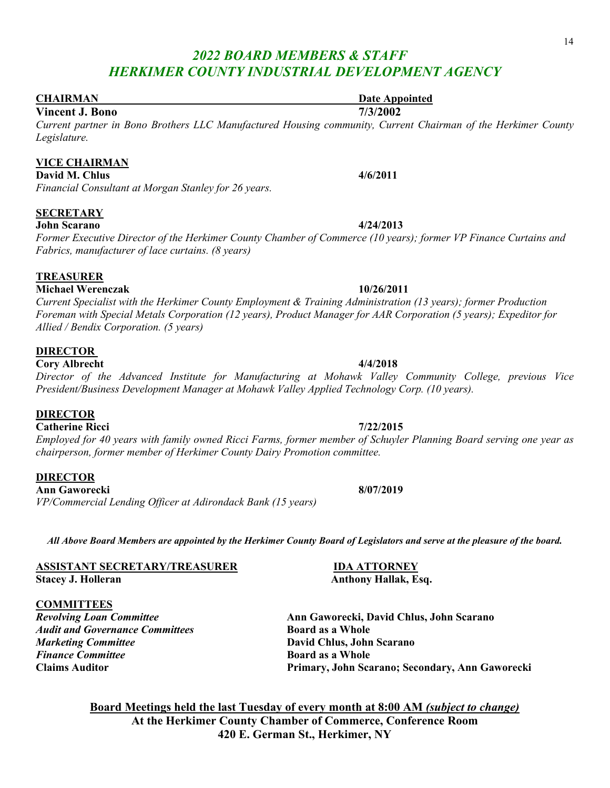#### **CHAIRMAN** Date Appointed

#### **Vincent J. Bono 7/3/2002**

*Current partner in Bono Brothers LLC Manufactured Housing community, Current Chairman of the Herkimer County Legislature.* 

#### **VICE CHAIRMAN**

**David M. Chlus** 4/6/2011 *Financial Consultant at Morgan Stanley for 26 years.* 

#### **SECRETARY**

#### **John Scarano 4/24/2013**

*Former Executive Director of the Herkimer County Chamber of Commerce (10 years); former VP Finance Curtains and Fabrics, manufacturer of lace curtains. (8 years)* 

#### **TREASURER**

**Michael Werenczak 10/26/2011** 

*Current Specialist with the Herkimer County Employment & Training Administration (13 years); former Production Foreman with Special Metals Corporation (12 years), Product Manager for AAR Corporation (5 years); Expeditor for Allied / Bendix Corporation. (5 years)* 

#### **DIRECTOR**

**Cory Albrecht 4/4/2018** 

*Director of the Advanced Institute for Manufacturing at Mohawk Valley Community College, previous Vice President/Business Development Manager at Mohawk Valley Applied Technology Corp. (10 years).*

#### **DIRECTOR**

#### **Catherine Ricci 7/22/2015**

*Employed for 40 years with family owned Ricci Farms, former member of Schuyler Planning Board serving one year as chairperson, former member of Herkimer County Dairy Promotion committee.* 

#### **DIRECTOR**

**Ann Gaworecki 8/07/2019**  *VP/Commercial Lending Officer at Adirondack Bank (15 years)*

*All Above Board Members are appointed by the Herkimer County Board of Legislators and serve at the pleasure of the board.*

**ASSISTANT SECRETARY/TREASURER IDA ATTORNEY Stacey J. Holleran Anthony Hallak, Esq.** 

#### **COMMITTEES**

*Revolving Loan Committee* **Ann Gaworecki, David Chlus, John Scarano**  Audit and Governance Committees **Board as a Whole** *Marketing Committee* **David Chlus, John Scarano Finance Committee Board as a Whole Board as a Whole** 

**Claims Auditor Primary, John Scarano; Secondary, Ann Gaworecki**

**Board Meetings held the last Tuesday of every month at 8:00 AM** *(subject to change)* **At the Herkimer County Chamber of Commerce, Conference Room 420 E. German St., Herkimer, NY**